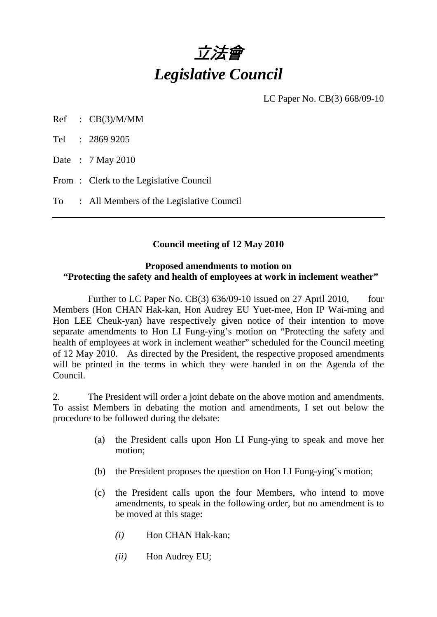

LC Paper No. CB(3) 668/09-10

Ref : CB(3)/M/MM

Tel : 2869 9205

Date : 7 May 2010

From: Clerk to the Legislative Council

To : All Members of the Legislative Council

### **Council meeting of 12 May 2010**

#### **Proposed amendments to motion on "Protecting the safety and health of employees at work in inclement weather"**

Further to LC Paper No. CB(3) 636/09-10 issued on 27 April 2010, four Members (Hon CHAN Hak-kan, Hon Audrey EU Yuet-mee, Hon IP Wai-ming and Hon LEE Cheuk-yan) have respectively given notice of their intention to move separate amendments to Hon LI Fung-ying's motion on "Protecting the safety and health of employees at work in inclement weather" scheduled for the Council meeting of 12 May 2010. As directed by the President, the respective proposed amendments will be printed in the terms in which they were handed in on the Agenda of the Council.

2. The President will order a joint debate on the above motion and amendments. To assist Members in debating the motion and amendments, I set out below the procedure to be followed during the debate:

- (a) the President calls upon Hon LI Fung-ying to speak and move her motion;
- (b) the President proposes the question on Hon LI Fung-ying's motion;
- (c) the President calls upon the four Members, who intend to move amendments, to speak in the following order, but no amendment is to be moved at this stage:
	- *(i)* Hon CHAN Hak-kan;
	- *(ii)* Hon Audrey EU;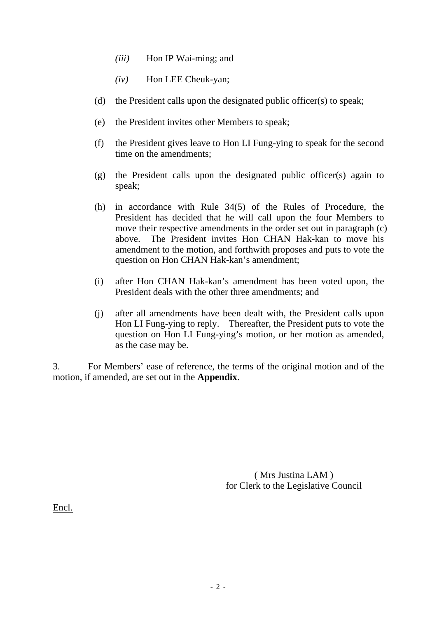- *(iii)* Hon IP Wai-ming; and
- *(iv)* Hon LEE Cheuk-yan;
- (d) the President calls upon the designated public officer(s) to speak;
- (e) the President invites other Members to speak;
- (f) the President gives leave to Hon LI Fung-ying to speak for the second time on the amendments;
- (g) the President calls upon the designated public officer(s) again to speak;
- (h) in accordance with Rule 34(5) of the Rules of Procedure, the President has decided that he will call upon the four Members to move their respective amendments in the order set out in paragraph (c) above. The President invites Hon CHAN Hak-kan to move his amendment to the motion, and forthwith proposes and puts to vote the question on Hon CHAN Hak-kan's amendment;
- (i) after Hon CHAN Hak-kan's amendment has been voted upon, the President deals with the other three amendments; and
- (j) after all amendments have been dealt with, the President calls upon Hon LI Fung-ying to reply. Thereafter, the President puts to vote the question on Hon LI Fung-ying's motion, or her motion as amended, as the case may be.

3. For Members' ease of reference, the terms of the original motion and of the motion, if amended, are set out in the **Appendix**.

> ( Mrs Justina LAM ) for Clerk to the Legislative Council

Encl.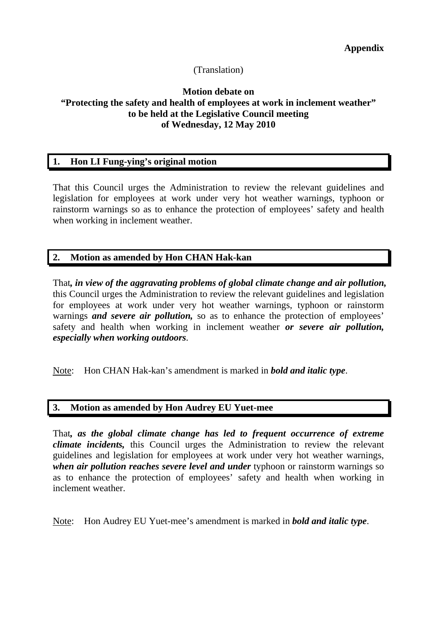## (Translation)

### **Motion debate on "Protecting the safety and health of employees at work in inclement weather" to be held at the Legislative Council meeting of Wednesday, 12 May 2010**

### **1. Hon LI Fung-ying's original motion**

That this Council urges the Administration to review the relevant guidelines and legislation for employees at work under very hot weather warnings, typhoon or rainstorm warnings so as to enhance the protection of employees' safety and health when working in inclement weather.

### **2. Motion as amended by Hon CHAN Hak-kan**

That*, in view of the aggravating problems of global climate change and air pollution,* this Council urges the Administration to review the relevant guidelines and legislation for employees at work under very hot weather warnings, typhoon or rainstorm warnings *and severe air pollution,* so as to enhance the protection of employees' safety and health when working in inclement weather *or severe air pollution, especially when working outdoors*.

Note: Hon CHAN Hak-kan's amendment is marked in *bold and italic type*.

### **3. Motion as amended by Hon Audrey EU Yuet-mee**

That*, as the global climate change has led to frequent occurrence of extreme climate incidents,* this Council urges the Administration to review the relevant guidelines and legislation for employees at work under very hot weather warnings, *when air pollution reaches severe level and under typhoon or rainstorm warnings so* as to enhance the protection of employees' safety and health when working in inclement weather.

Note: Hon Audrey EU Yuet-mee's amendment is marked in *bold and italic type*.